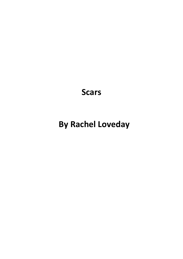**Scars**

# **By Rachel Loveday**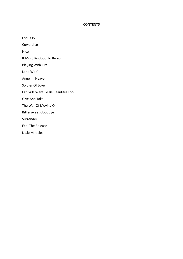### **CONTENTS**

I Still Cry

Cowardice

Nice

It Must Be Good To Be You

Playing With Fire

Lone Wolf

Angel In Heaven

Soldier Of Love

Fat Girls Want To Be Beautiful Too

Give And Take

The War Of Moving On

Bittersweet Goodbye

Surrender

Feel The Release

Little Miracles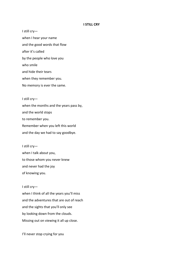#### **I STILL CRY**

I still cry when I hear your name and the good words that flow after it's called by the people who love you who smile and hide their tears when they remember you. No memory is ever the same.

I still cry when the months and the years pass by, and the world stops to remember you. Remember when you left this world and the day we had to say goodbye.

I still cry when I talk about you, to those whom you never knew and never had the joy of knowing you.

I still cry when I think of all the years you'll miss and the adventures that are out of reach and the sights that you'll only see by looking down from the clouds. Missing out on viewing it all up close.

I'll never stop crying for you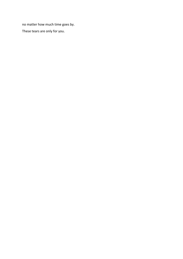no matter how much time goes by.

These tears are only for you.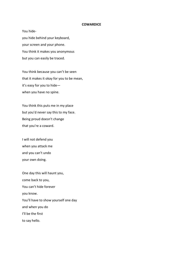#### **COWARDICE**

You hideyou hide behind your keyboard, your screen and your phone. You think it makes you anonymous but you can easily be traced.

You think because you can't be seen that it makes it okay for you to be mean, it's easy for you to hide when you have no spine.

You think this puts me in my place but you'd never say this to my face. Being proud doesn't change that you're a coward.

I will not defend you when you attack me and you can't undo your own doing.

One day this will haunt you, come back to you, You can't hide forever you know. You'll have to show yourself one day and when you do I'll be the first to say hello.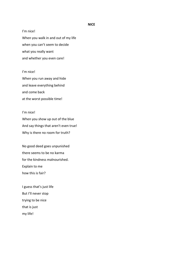#### **NICE**

I'm nice! When you walk in and out of my life when you can't seem to decide what you really want and whether you even care!

I'm nice! When you run away and hide and leave everything behind and come back at the worst possible time!

# I'm nice! When you show up out of the blue And say things that aren't even true! Why is there no room for truth?

No good deed goes unpunished there seems to be no karma for the kindness malnourished. Explain to me how this is fair?

I guess that's just life But I'll never stop trying to be nice that is just my life!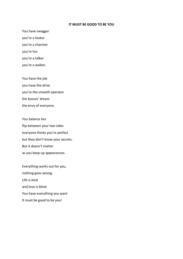#### **IT MUST BE GOOD TO BE YOU**

You have swagger you're a looker you're a charmer you're fun you're a talker you're a walker.

You have the job you have the drive you're the smooth operator the bosses' dream the envy of everyone.

You balance lies flip between your two sides everyone thinks you're perfect but they don't know your secrets. But it doesn't matter as you keep up appearances.

Everything works out for you, nothing goes wrong. Life is kind and love is blind. You have everything you want It must be good to be you!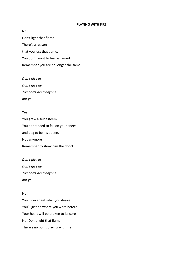#### **PLAYING WITH FIRE**

No! Don't light that flame! There's a reason that you lost that game. You don't want to feel ashamed Remember you are no longer the same.

*Don't give in Don't give up You don't need anyone but you.*

## Yes!

You grew a self esteem You don't need to fall on your knees and beg to be his queen. Not anymore Remember to show him the door!

*Don't give in Don't give up You don't need anyone but you.*

## No!

You'll never get what you desire You'll just be where you were before Your heart will be broken to its core No! Don't light that flame! There's no point playing with fire.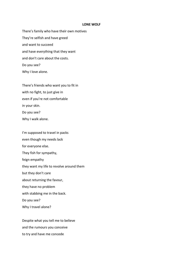#### **LONE WOLF**

There's family who have their own motives They're selfish and have greed and want to succeed and have everything that they want and don't care about the costs. Do you see? Why I love alone.

There's friends who want you to fit in with no fight, to just give in even if you're not comfortable in your skin. Do you see? Why I walk alone.

I'm supposed to travel in packs even though my needs lack for everyone else. They fish for sympathy, feign empathy they want my life to revolve around them but they don't care about returning the favour, they have no problem with stabbing me in the back. Do you see? Why I travel alone?

Despite what you tell me to believe and the rumours you conceive to try and have me concede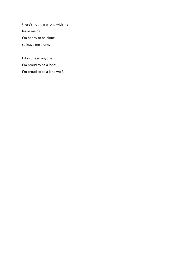there's nothing wrong with me leave me be I'm happy to be alone so leave me alone.

I don't need anyone I'm proud to be a 'one' I'm proud to be a lone wolf.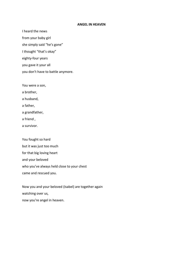#### **ANGEL IN HEAVEN**

I heard the news

from your baby girl

she simply said "he's gone"

I thought "that's okay"

eighty-four years

you gave it your all

you don't have to battle anymore.

You were a son,

a brother,

a husband,

a father,

a grandfather,

a friend ,

a survivor.

You fought so hard but it was just too much for that big loving heart and your beloved who you've always held close to your chest came and rescued you.

Now you and your beloved (Isabel) are together again watching over us, now you're angel in heaven.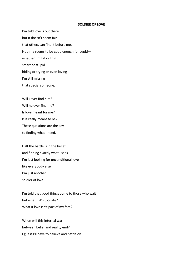#### **SOLDIER OF LOVE**

I'm told love is out there but it doesn't seem fair that others can find it before me. Nothing seems to be good enough for cupid whether I'm fat or thin smart or stupid hiding or trying or even loving I'm still missing that special someone.

Will I ever find him? Will he ever find me? Is love meant for me? Is it really meant to be? These questions are the key to finding what I need.

Half the battle is in the belief and finding exactly what I seek I'm just looking for unconditional love like everybody else I'm just another soldier of love.

I'm told that good things come to those who wait but what if it's too late? What if love isn't part of my fate?

When will this internal war between belief and reality end? I guess I'll have to believe and battle on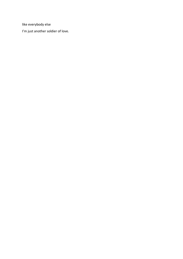like everybody else

I'm just another soldier of love.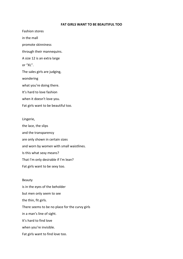#### **FAT GIRLS WANT TO BE BEAUTIFUL TOO**

Fashion stores in the mall promote skinniness through their mannequins. A size 12 is an extra large or "XL". The sales girls are judging, wondering what you're doing there. It's hard to love fashion when it doesn't love you. Fat girls want to be beautiful too.

#### Lingerie,

the lace, the slips and the transparency are only shown in certain sizes and worn by women with small waistlines. Is this what sexy means? That I'm only desirable if I'm lean? Fat girls want to be sexy too.

#### Beauty

is in the eyes of the beholder but men only seem to see the thin, fit girls. There seems to be no place for the curvy girls in a man's line of sight. It's hard to find love when you're invisible. Fat girls want to find love too.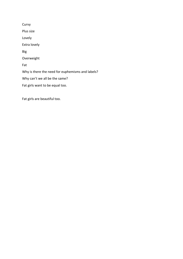**Curvy** Plus size Lovely Extra lovely Big Overweight Fat Why is there the need for euphemisms and labels? Why can't we all be the same? Fat girls want to be equal too.

Fat girls are beautiful too.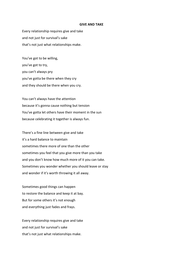#### **GIVE AND TAKE**

Every relationship requires give and take and not just for survival's sake that's not just what relationships make.

You've got to be willing, you've got to try, you can't always pry you've gotta be there when they cry and they should be there when you cry.

You can't always have the attention because it's gonna cause nothing but tension You've gotta let others have their moment in the sun because celebrating it together is always fun.

There's a fine line between give and take it's a hard balance to maintain sometimes there more of one than the other sometimes you feel that you give more than you take and you don't know how much more of it you can take. Sometimes you wonder whether you should leave or stay and wonder if it's worth throwing it all away.

Sometimes good things can happen to restore the balance and keep it at bay. But for some others it's not enough and everything just fades and frays.

Every relationship requires give and take and not just for survival's sake that's not just what relationships make.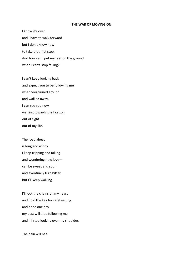#### **THE WAR OF MOVING ON**

I know it's over and I have to walk forward but I don't know how to take that first step. And how can I put my feet on the ground when I can't stop falling?

I can't keep looking back and expect you to be following me when you turned around and walked away. I can see you now walking towards the horizon out of sight out of my life.

The road ahead is long and windy I keep tripping and falling and wondering how love can be sweet and sour and eventually turn bitter but I'll keep walking.

I'll lock the chains on my heart and hold the key for safekeeping and hope one day my past will stop following me and I'll stop looking over my shoulder.

The pain will heal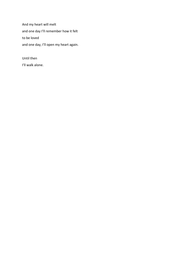And my heart will melt and one day I'll remember how it felt to be loved and one day, I'll open my heart again.

Until then I'll walk alone.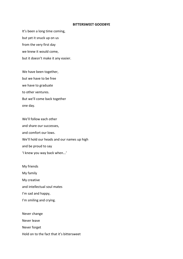#### **BITTERSWEET GOODBYE**

It's been a long time coming, but yet it snuck up on us from the very first day we knew it would come, but it doesn't make it any easier.

We have been together, but we have to be free we have to graduate to other ventures. But we'll come back together one day.

We'll follow each other and share our successes, and comfort our lows. We'll hold our heads and our names up high and be proud to say 'I knew you way back when...'

My friends My family My creative and intellectual soul mates I'm sad and happy, I'm smiling and crying.

Never change Never leave Never forget Hold on to the fact that it's bittersweet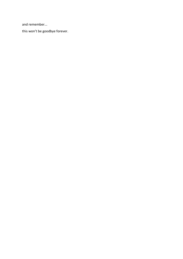and remember...

this won't be goodbye forever.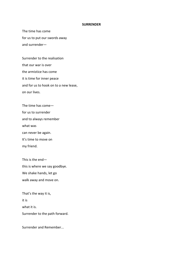#### **SURRENDER**

The time has come for us to put our swords away and surrender—

Surrender to the realisation that our war is over the armistice has come it is time for inner peace and for us to hook on to a new lease, on our lives.

The time has come for us to surrender and to always remember what was can never be again. It's time to move on my friend.

This is the end this is where we say goodbye. We shake hands, let go walk away and move on.

That's the way it is, it is what it is. Surrender to the path forward.

Surrender and Remember...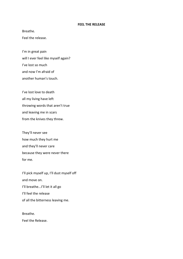#### **FEEL THE RELEASE**

Breathe.

Feel the release.

I'm in great pain will I ever feel like myself again? I've lost so much and now I'm afraid of another human's touch.

I've lost love to death all my living have left throwing words that aren't true and leaving me in scars from the knives they threw.

They'll never see how much they hurt me and they'll never care because they were never there for me.

I'll pick myself up, I'll dust myself off and move on. I'll breathe...I'll let it all go I'll feel the release of all the bitterness leaving me.

Breathe. Feel the Release.